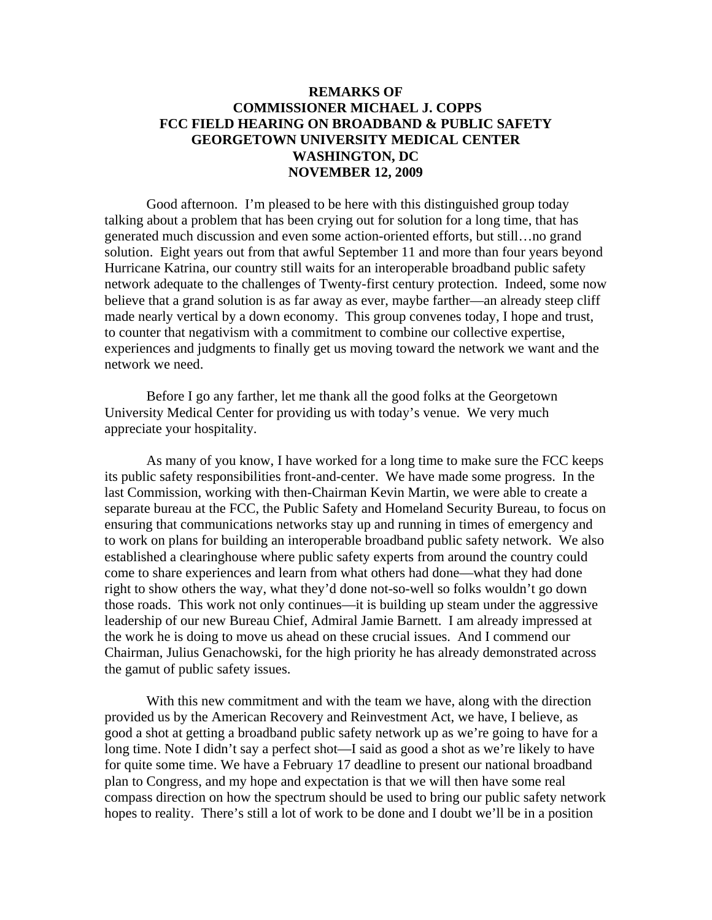## **REMARKS OF COMMISSIONER MICHAEL J. COPPS FCC FIELD HEARING ON BROADBAND & PUBLIC SAFETY GEORGETOWN UNIVERSITY MEDICAL CENTER WASHINGTON, DC NOVEMBER 12, 2009**

Good afternoon. I'm pleased to be here with this distinguished group today talking about a problem that has been crying out for solution for a long time, that has generated much discussion and even some action-oriented efforts, but still…no grand solution. Eight years out from that awful September 11 and more than four years beyond Hurricane Katrina, our country still waits for an interoperable broadband public safety network adequate to the challenges of Twenty-first century protection. Indeed, some now believe that a grand solution is as far away as ever, maybe farther—an already steep cliff made nearly vertical by a down economy. This group convenes today, I hope and trust, to counter that negativism with a commitment to combine our collective expertise, experiences and judgments to finally get us moving toward the network we want and the network we need.

Before I go any farther, let me thank all the good folks at the Georgetown University Medical Center for providing us with today's venue. We very much appreciate your hospitality.

As many of you know, I have worked for a long time to make sure the FCC keeps its public safety responsibilities front-and-center. We have made some progress. In the last Commission, working with then-Chairman Kevin Martin, we were able to create a separate bureau at the FCC, the Public Safety and Homeland Security Bureau, to focus on ensuring that communications networks stay up and running in times of emergency and to work on plans for building an interoperable broadband public safety network. We also established a clearinghouse where public safety experts from around the country could come to share experiences and learn from what others had done—what they had done right to show others the way, what they'd done not-so-well so folks wouldn't go down those roads. This work not only continues—it is building up steam under the aggressive leadership of our new Bureau Chief, Admiral Jamie Barnett. I am already impressed at the work he is doing to move us ahead on these crucial issues. And I commend our Chairman, Julius Genachowski, for the high priority he has already demonstrated across the gamut of public safety issues.

With this new commitment and with the team we have, along with the direction provided us by the American Recovery and Reinvestment Act, we have, I believe, as good a shot at getting a broadband public safety network up as we're going to have for a long time. Note I didn't say a perfect shot—I said as good a shot as we're likely to have for quite some time. We have a February 17 deadline to present our national broadband plan to Congress, and my hope and expectation is that we will then have some real compass direction on how the spectrum should be used to bring our public safety network hopes to reality. There's still a lot of work to be done and I doubt we'll be in a position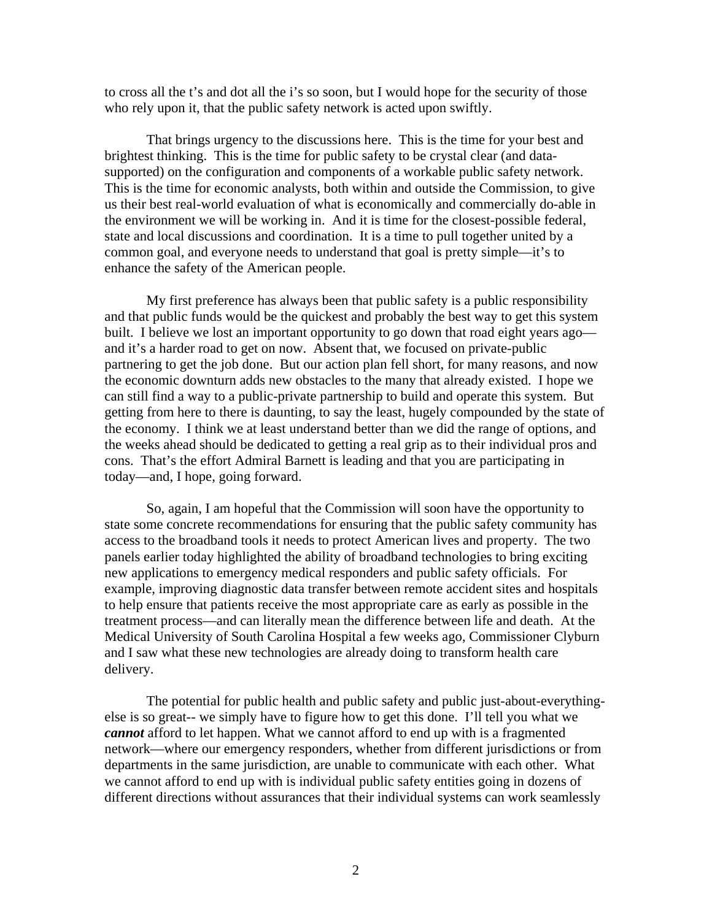to cross all the t's and dot all the i's so soon, but I would hope for the security of those who rely upon it, that the public safety network is acted upon swiftly.

That brings urgency to the discussions here. This is the time for your best and brightest thinking. This is the time for public safety to be crystal clear (and datasupported) on the configuration and components of a workable public safety network. This is the time for economic analysts, both within and outside the Commission, to give us their best real-world evaluation of what is economically and commercially do-able in the environment we will be working in. And it is time for the closest-possible federal, state and local discussions and coordination. It is a time to pull together united by a common goal, and everyone needs to understand that goal is pretty simple—it's to enhance the safety of the American people.

My first preference has always been that public safety is a public responsibility and that public funds would be the quickest and probably the best way to get this system built. I believe we lost an important opportunity to go down that road eight years ago and it's a harder road to get on now. Absent that, we focused on private-public partnering to get the job done. But our action plan fell short, for many reasons, and now the economic downturn adds new obstacles to the many that already existed. I hope we can still find a way to a public-private partnership to build and operate this system. But getting from here to there is daunting, to say the least, hugely compounded by the state of the economy. I think we at least understand better than we did the range of options, and the weeks ahead should be dedicated to getting a real grip as to their individual pros and cons. That's the effort Admiral Barnett is leading and that you are participating in today—and, I hope, going forward.

So, again, I am hopeful that the Commission will soon have the opportunity to state some concrete recommendations for ensuring that the public safety community has access to the broadband tools it needs to protect American lives and property. The two panels earlier today highlighted the ability of broadband technologies to bring exciting new applications to emergency medical responders and public safety officials. For example, improving diagnostic data transfer between remote accident sites and hospitals to help ensure that patients receive the most appropriate care as early as possible in the treatment process—and can literally mean the difference between life and death. At the Medical University of South Carolina Hospital a few weeks ago, Commissioner Clyburn and I saw what these new technologies are already doing to transform health care delivery.

The potential for public health and public safety and public just-about-everythingelse is so great-- we simply have to figure how to get this done. I'll tell you what we *cannot* afford to let happen. What we cannot afford to end up with is a fragmented network—where our emergency responders, whether from different jurisdictions or from departments in the same jurisdiction, are unable to communicate with each other. What we cannot afford to end up with is individual public safety entities going in dozens of different directions without assurances that their individual systems can work seamlessly